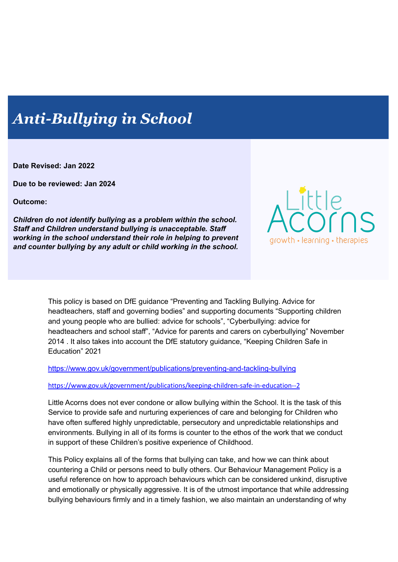# *Anti-Bullying in School*

**Date Revised: Jan 2022**

**Due to be reviewed: Jan 2024**

**Outcome:**

*Children do not identify bullying as a problem within the school. Staff and Children understand bullying is unacceptable. Staff working in the school understand their role in helping to prevent and counter bullying by any adult or child working in the school.*



This policy is based on DfE guidance "Preventing and Tackling Bullying. Advice for headteachers, staff and governing bodies" and supporting documents "Supporting children and young people who are bullied: advice for schools", "Cyberbullying: advice for headteachers and school staff", "Advice for parents and carers on cyberbullying" November 2014 . It also takes into account the DfE statutory guidance, "Keeping Children Safe in Education" 2021

<https://www.gov.uk/government/publications/preventing-and-tackling-bullying>

<https://www.gov.uk/government/publications/keeping-children-safe-in-education--2>

Little Acorns does not ever condone or allow bullying within the School. It is the task of this Service to provide safe and nurturing experiences of care and belonging for Children who have often suffered highly unpredictable, persecutory and unpredictable relationships and environments. Bullying in all of its forms is counter to the ethos of the work that we conduct in support of these Children's positive experience of Childhood.

This Policy explains all of the forms that bullying can take, and how we can think about countering a Child or persons need to bully others. Our Behaviour Management Policy is a useful reference on how to approach behaviours which can be considered unkind, disruptive and emotionally or physically aggressive. It is of the utmost importance that while addressing bullying behaviours firmly and in a timely fashion, we also maintain an understanding of why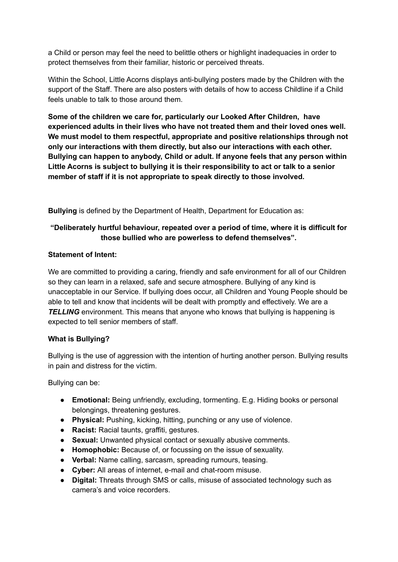a Child or person may feel the need to belittle others or highlight inadequacies in order to protect themselves from their familiar, historic or perceived threats.

Within the School, Little Acorns displays anti-bullying posters made by the Children with the support of the Staff. There are also posters with details of how to access Childline if a Child feels unable to talk to those around them.

**Some of the children we care for, particularly our Looked After Children, have experienced adults in their lives who have not treated them and their loved ones well. We must model to them respectful, appropriate and positive relationships through not only our interactions with them directly, but also our interactions with each other. Bullying can happen to anybody, Child or adult. If anyone feels that any person within Little Acorns is subject to bullying it is their responsibility to act or talk to a senior member of staff if it is not appropriate to speak directly to those involved.**

**Bullying** is defined by the Department of Health, Department for Education as:

# **"Deliberately hurtful behaviour, repeated over a period of time, where it is difficult for those bullied who are powerless to defend themselves".**

# **Statement of Intent:**

We are committed to providing a caring, friendly and safe environment for all of our Children so they can learn in a relaxed, safe and secure atmosphere. Bullying of any kind is unacceptable in our Service. If bullying does occur, all Children and Young People should be able to tell and know that incidents will be dealt with promptly and effectively. We are a **TELLING** environment. This means that anyone who knows that bullying is happening is expected to tell senior members of staff.

# **What is Bullying?**

Bullying is the use of aggression with the intention of hurting another person. Bullying results in pain and distress for the victim.

Bullying can be:

- **Emotional:** Being unfriendly, excluding, tormenting. E.g. Hiding books or personal belongings, threatening gestures.
- **Physical:** Pushing, kicking, hitting, punching or any use of violence.
- **Racist:** Racial taunts, graffiti, gestures.
- **Sexual:** Unwanted physical contact or sexually abusive comments.
- **Homophobic:** Because of, or focussing on the issue of sexuality.
- **Verbal:** Name calling, sarcasm, spreading rumours, teasing.
- **Cyber:** All areas of internet, e-mail and chat-room misuse.
- **Digital:** Threats through SMS or calls, misuse of associated technology such as camera's and voice recorders.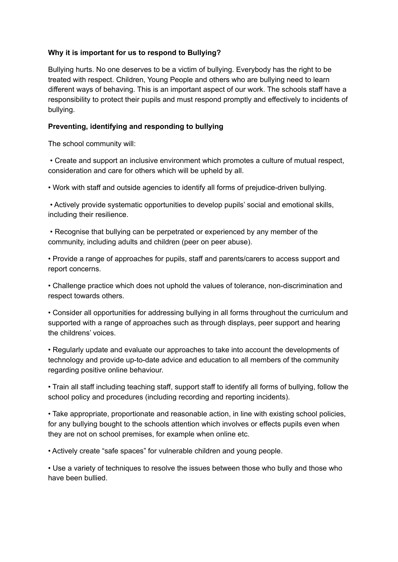## **Why it is important for us to respond to Bullying?**

Bullying hurts. No one deserves to be a victim of bullying. Everybody has the right to be treated with respect. Children, Young People and others who are bullying need to learn different ways of behaving. This is an important aspect of our work. The schools staff have a responsibility to protect their pupils and must respond promptly and effectively to incidents of bullying.

# **Preventing, identifying and responding to bullying**

The school community will:

• Create and support an inclusive environment which promotes a culture of mutual respect, consideration and care for others which will be upheld by all.

• Work with staff and outside agencies to identify all forms of prejudice-driven bullying.

• Actively provide systematic opportunities to develop pupils' social and emotional skills, including their resilience.

• Recognise that bullying can be perpetrated or experienced by any member of the community, including adults and children (peer on peer abuse).

• Provide a range of approaches for pupils, staff and parents/carers to access support and report concerns.

• Challenge practice which does not uphold the values of tolerance, non-discrimination and respect towards others.

• Consider all opportunities for addressing bullying in all forms throughout the curriculum and supported with a range of approaches such as through displays, peer support and hearing the childrens' voices.

• Regularly update and evaluate our approaches to take into account the developments of technology and provide up-to-date advice and education to all members of the community regarding positive online behaviour.

• Train all staff including teaching staff, support staff to identify all forms of bullying, follow the school policy and procedures (including recording and reporting incidents).

• Take appropriate, proportionate and reasonable action, in line with existing school policies, for any bullying bought to the schools attention which involves or effects pupils even when they are not on school premises, for example when online etc.

• Actively create "safe spaces" for vulnerable children and young people.

• Use a variety of techniques to resolve the issues between those who bully and those who have been bullied.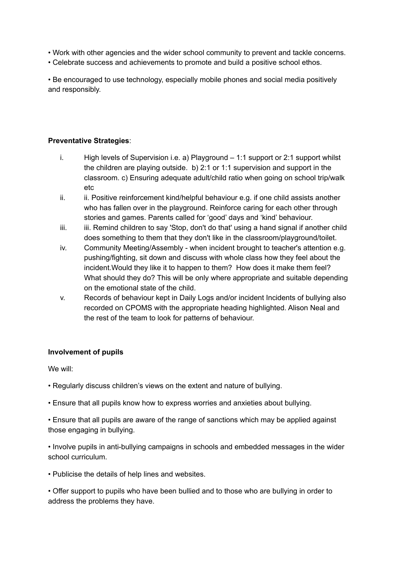• Work with other agencies and the wider school community to prevent and tackle concerns.

• Celebrate success and achievements to promote and build a positive school ethos.

• Be encouraged to use technology, especially mobile phones and social media positively and responsibly.

# **Preventative Strategies**:

- i. High levels of Supervision i.e. a) Playground 1:1 support or 2:1 support whilst the children are playing outside. b) 2:1 or 1:1 supervision and support in the classroom. c) Ensuring adequate adult/child ratio when going on school trip/walk etc
- ii. ii. Positive reinforcement kind/helpful behaviour e.g. if one child assists another who has fallen over in the playground. Reinforce caring for each other through stories and games. Parents called for 'good' days and 'kind' behaviour.
- iii. iii. Remind children to say 'Stop, don't do that' using a hand signal if another child does something to them that they don't like in the classroom/playground/toilet.
- iv. Community Meeting/Assembly when incident brought to teacher's attention e.g. pushing/fighting, sit down and discuss with whole class how they feel about the incident.Would they like it to happen to them? How does it make them feel? What should they do? This will be only where appropriate and suitable depending on the emotional state of the child.
- v. Records of behaviour kept in Daily Logs and/or incident Incidents of bullying also recorded on CPOMS with the appropriate heading highlighted. Alison Neal and the rest of the team to look for patterns of behaviour.

# **Involvement of pupils**

We will:

- Regularly discuss children's views on the extent and nature of bullying.
- Ensure that all pupils know how to express worries and anxieties about bullying.
- Ensure that all pupils are aware of the range of sanctions which may be applied against those engaging in bullying.

• Involve pupils in anti-bullying campaigns in schools and embedded messages in the wider school curriculum.

• Publicise the details of help lines and websites.

• Offer support to pupils who have been bullied and to those who are bullying in order to address the problems they have.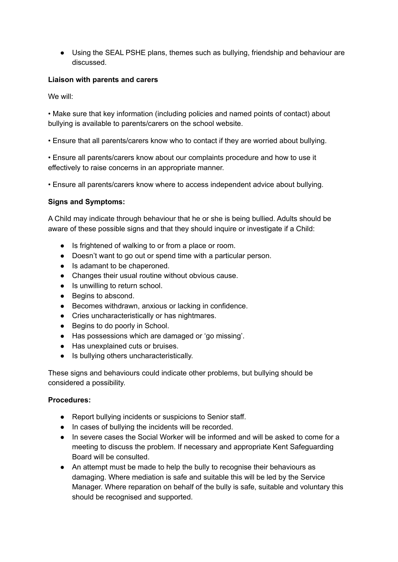● Using the SEAL PSHE plans, themes such as bullying, friendship and behaviour are discussed.

## **Liaison with parents and carers**

We will:

• Make sure that key information (including policies and named points of contact) about bullying is available to parents/carers on the school website.

• Ensure that all parents/carers know who to contact if they are worried about bullying.

• Ensure all parents/carers know about our complaints procedure and how to use it effectively to raise concerns in an appropriate manner.

• Ensure all parents/carers know where to access independent advice about bullying.

## **Signs and Symptoms:**

A Child may indicate through behaviour that he or she is being bullied. Adults should be aware of these possible signs and that they should inquire or investigate if a Child:

- Is frightened of walking to or from a place or room.
- Doesn't want to go out or spend time with a particular person.
- Is adamant to be chaperoned.
- Changes their usual routine without obvious cause.
- Is unwilling to return school.
- Begins to abscond.
- Becomes withdrawn, anxious or lacking in confidence.
- Cries uncharacteristically or has nightmares.
- Begins to do poorly in School.
- Has possessions which are damaged or 'go missing'.
- Has unexplained cuts or bruises.
- Is bullying others uncharacteristically.

These signs and behaviours could indicate other problems, but bullying should be considered a possibility.

#### **Procedures:**

- Report bullying incidents or suspicions to Senior staff.
- In cases of bullying the incidents will be recorded.
- In severe cases the Social Worker will be informed and will be asked to come for a meeting to discuss the problem. If necessary and appropriate Kent Safeguarding Board will be consulted.
- An attempt must be made to help the bully to recognise their behaviours as damaging. Where mediation is safe and suitable this will be led by the Service Manager. Where reparation on behalf of the bully is safe, suitable and voluntary this should be recognised and supported.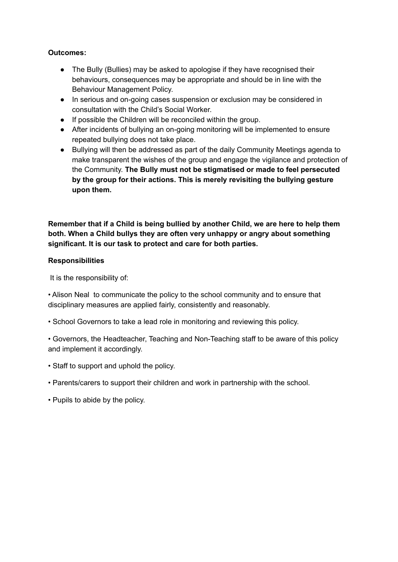## **Outcomes:**

- The Bully (Bullies) may be asked to apologise if they have recognised their behaviours, consequences may be appropriate and should be in line with the Behaviour Management Policy.
- In serious and on-going cases suspension or exclusion may be considered in consultation with the Child's Social Worker.
- If possible the Children will be reconciled within the group.
- After incidents of bullying an on-going monitoring will be implemented to ensure repeated bullying does not take place.
- Bullying will then be addressed as part of the daily Community Meetings agenda to make transparent the wishes of the group and engage the vigilance and protection of the Community. **The Bully must not be stigmatised or made to feel persecuted by the group for their actions. This is merely revisiting the bullying gesture upon them.**

**Remember that if a Child is being bullied by another Child, we are here to help them both. When a Child bullys they are often very unhappy or angry about something significant. It is our task to protect and care for both parties.**

## **Responsibilities**

It is the responsibility of:

• Alison Neal to communicate the policy to the school community and to ensure that disciplinary measures are applied fairly, consistently and reasonably.

- School Governors to take a lead role in monitoring and reviewing this policy.
- Governors, the Headteacher, Teaching and Non-Teaching staff to be aware of this policy and implement it accordingly.
- Staff to support and uphold the policy.
- Parents/carers to support their children and work in partnership with the school.
- Pupils to abide by the policy.